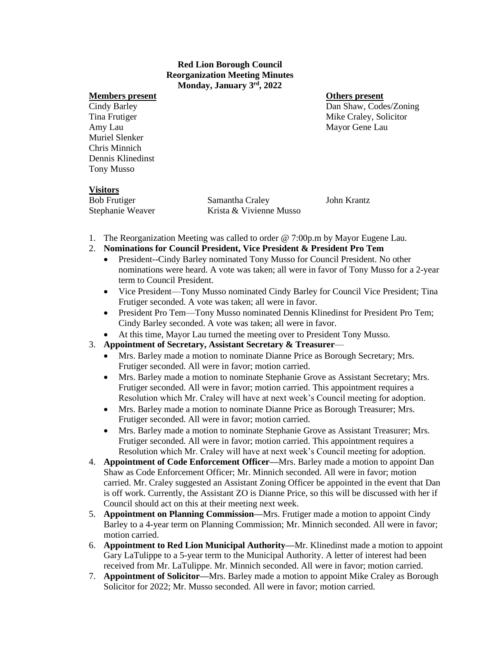### **Red Lion Borough Council Reorganization Meeting Minutes Monday, January 3rd, 2022**

### **Members present Others present**

Amy Lau Mayor Gene Lau Muriel Slenker Chris Minnich Dennis Klinedinst Tony Musso

Cindy Barley Dan Shaw, Codes/Zoning Tina Frutiger The Craley, Solicitor Nike Craley, Solicitor

# **Visitors**

| <b>Bob Frutiger</b> | Samantha Craley         | John Krantz |
|---------------------|-------------------------|-------------|
| Stephanie Weaver    | Krista & Vivienne Musso |             |

- 1. The Reorganization Meeting was called to order @ 7:00p.m by Mayor Eugene Lau.
- 2. **Nominations for Council President, Vice President & President Pro Tem**
	- President--Cindy Barley nominated Tony Musso for Council President. No other nominations were heard. A vote was taken; all were in favor of Tony Musso for a 2-year term to Council President.
	- Vice President—Tony Musso nominated Cindy Barley for Council Vice President; Tina Frutiger seconded. A vote was taken; all were in favor.
	- President Pro Tem—Tony Musso nominated Dennis Klinedinst for President Pro Tem; Cindy Barley seconded. A vote was taken; all were in favor.
	- At this time, Mayor Lau turned the meeting over to President Tony Musso.

# 3. **Appointment of Secretary, Assistant Secretary & Treasurer**—

- Mrs. Barley made a motion to nominate Dianne Price as Borough Secretary; Mrs. Frutiger seconded. All were in favor; motion carried.
- Mrs. Barley made a motion to nominate Stephanie Grove as Assistant Secretary; Mrs. Frutiger seconded. All were in favor; motion carried. This appointment requires a Resolution which Mr. Craley will have at next week's Council meeting for adoption.
- Mrs. Barley made a motion to nominate Dianne Price as Borough Treasurer; Mrs. Frutiger seconded. All were in favor; motion carried.
- Mrs. Barley made a motion to nominate Stephanie Grove as Assistant Treasurer; Mrs. Frutiger seconded. All were in favor; motion carried. This appointment requires a Resolution which Mr. Craley will have at next week's Council meeting for adoption.
- 4. **Appointment of Code Enforcement Officer—**Mrs. Barley made a motion to appoint Dan Shaw as Code Enforcement Officer; Mr. Minnich seconded. All were in favor; motion carried. Mr. Craley suggested an Assistant Zoning Officer be appointed in the event that Dan is off work. Currently, the Assistant ZO is Dianne Price, so this will be discussed with her if Council should act on this at their meeting next week.
- 5. **Appointment on Planning Commission—**Mrs. Frutiger made a motion to appoint Cindy Barley to a 4-year term on Planning Commission; Mr. Minnich seconded. All were in favor; motion carried.
- 6. **Appointment to Red Lion Municipal Authority—**Mr. Klinedinst made a motion to appoint Gary LaTulippe to a 5-year term to the Municipal Authority. A letter of interest had been received from Mr. LaTulippe. Mr. Minnich seconded. All were in favor; motion carried.
- 7. **Appointment of Solicitor—**Mrs. Barley made a motion to appoint Mike Craley as Borough Solicitor for 2022; Mr. Musso seconded. All were in favor; motion carried.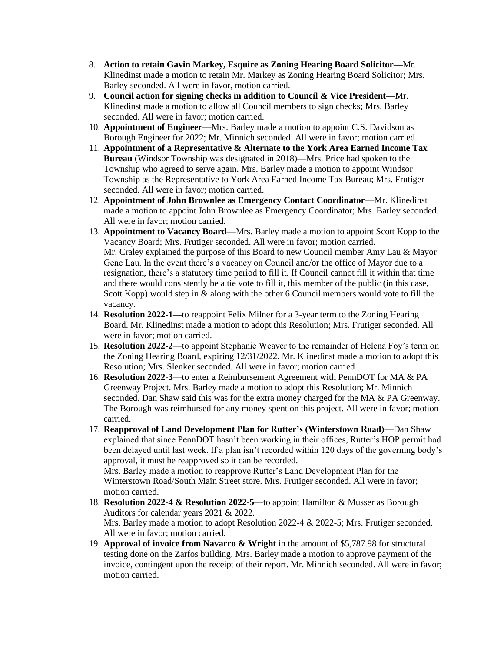- 8. **Action to retain Gavin Markey, Esquire as Zoning Hearing Board Solicitor—**Mr. Klinedinst made a motion to retain Mr. Markey as Zoning Hearing Board Solicitor; Mrs. Barley seconded. All were in favor, motion carried.
- 9. **Council action for signing checks in addition to Council & Vice President—**Mr. Klinedinst made a motion to allow all Council members to sign checks; Mrs. Barley seconded. All were in favor; motion carried.
- 10. **Appointment of Engineer—**Mrs. Barley made a motion to appoint C.S. Davidson as Borough Engineer for 2022; Mr. Minnich seconded. All were in favor; motion carried.
- 11. **Appointment of a Representative & Alternate to the York Area Earned Income Tax Bureau** (Windsor Township was designated in 2018)—Mrs. Price had spoken to the Township who agreed to serve again. Mrs. Barley made a motion to appoint Windsor Township as the Representative to York Area Earned Income Tax Bureau; Mrs. Frutiger seconded. All were in favor; motion carried.
- 12. **Appointment of John Brownlee as Emergency Contact Coordinator**—Mr. Klinedinst made a motion to appoint John Brownlee as Emergency Coordinator; Mrs. Barley seconded. All were in favor; motion carried.
- 13. **Appointment to Vacancy Board**—Mrs. Barley made a motion to appoint Scott Kopp to the Vacancy Board; Mrs. Frutiger seconded. All were in favor; motion carried. Mr. Craley explained the purpose of this Board to new Council member Amy Lau & Mayor Gene Lau. In the event there's a vacancy on Council and/or the office of Mayor due to a resignation, there's a statutory time period to fill it. If Council cannot fill it within that time and there would consistently be a tie vote to fill it, this member of the public (in this case, Scott Kopp) would step in & along with the other 6 Council members would vote to fill the vacancy.
- 14. **Resolution 2022-1—**to reappoint Felix Milner for a 3-year term to the Zoning Hearing Board. Mr. Klinedinst made a motion to adopt this Resolution; Mrs. Frutiger seconded. All were in favor; motion carried.
- 15. **Resolution 2022-2**—to appoint Stephanie Weaver to the remainder of Helena Foy's term on the Zoning Hearing Board, expiring 12/31/2022. Mr. Klinedinst made a motion to adopt this Resolution; Mrs. Slenker seconded. All were in favor; motion carried.
- 16. **Resolution 2022**-**3**—to enter a Reimbursement Agreement with PennDOT for MA & PA Greenway Project. Mrs. Barley made a motion to adopt this Resolution; Mr. Minnich seconded. Dan Shaw said this was for the extra money charged for the MA & PA Greenway. The Borough was reimbursed for any money spent on this project. All were in favor; motion carried.
- 17. **Reapproval of Land Development Plan for Rutter's (Winterstown Road)**—Dan Shaw explained that since PennDOT hasn't been working in their offices, Rutter's HOP permit had been delayed until last week. If a plan isn't recorded within 120 days of the governing body's approval, it must be reapproved so it can be recorded.

Mrs. Barley made a motion to reapprove Rutter's Land Development Plan for the Winterstown Road/South Main Street store. Mrs. Frutiger seconded. All were in favor; motion carried.

- 18. **Resolution 2022-4 & Resolution 2022-5—**to appoint Hamilton & Musser as Borough Auditors for calendar years 2021 & 2022. Mrs. Barley made a motion to adopt Resolution 2022-4 & 2022-5; Mrs. Frutiger seconded. All were in favor; motion carried.
- 19. **Approval of invoice from Navarro & Wright** in the amount of \$5,787.98 for structural testing done on the Zarfos building. Mrs. Barley made a motion to approve payment of the invoice, contingent upon the receipt of their report. Mr. Minnich seconded. All were in favor; motion carried.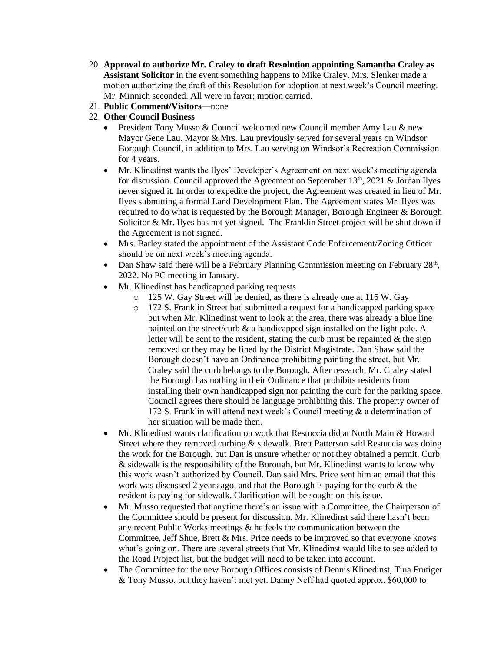- 20. **Approval to authorize Mr. Craley to draft Resolution appointing Samantha Craley as Assistant Solicitor** in the event something happens to Mike Craley. Mrs. Slenker made a motion authorizing the draft of this Resolution for adoption at next week's Council meeting. Mr. Minnich seconded. All were in favor; motion carried.
- 21. **Public Comment/Visitors**—none
- 22. **Other Council Business**
	- President Tony Musso & Council welcomed new Council member Amy Lau & new Mayor Gene Lau. Mayor & Mrs. Lau previously served for several years on Windsor Borough Council, in addition to Mrs. Lau serving on Windsor's Recreation Commission for 4 years.
	- Mr. Klinedinst wants the Ilyes' Developer's Agreement on next week's meeting agenda for discussion. Council approved the Agreement on September  $13<sup>th</sup>$ , 2021 & Jordan Ilyes never signed it. In order to expedite the project, the Agreement was created in lieu of Mr. Ilyes submitting a formal Land Development Plan. The Agreement states Mr. Ilyes was required to do what is requested by the Borough Manager, Borough Engineer & Borough Solicitor & Mr. Ilyes has not yet signed. The Franklin Street project will be shut down if the Agreement is not signed.
	- Mrs. Barley stated the appointment of the Assistant Code Enforcement/Zoning Officer should be on next week's meeting agenda.
	- Dan Shaw said there will be a February Planning Commission meeting on February  $28<sup>th</sup>$ , 2022. No PC meeting in January.
	- Mr. Klinedinst has handicapped parking requests
		- o 125 W. Gay Street will be denied, as there is already one at 115 W. Gay
		- o 172 S. Franklin Street had submitted a request for a handicapped parking space but when Mr. Klinedinst went to look at the area, there was already a blue line painted on the street/curb & a handicapped sign installed on the light pole. A letter will be sent to the resident, stating the curb must be repainted  $\&$  the sign removed or they may be fined by the District Magistrate. Dan Shaw said the Borough doesn't have an Ordinance prohibiting painting the street, but Mr. Craley said the curb belongs to the Borough. After research, Mr. Craley stated the Borough has nothing in their Ordinance that prohibits residents from installing their own handicapped sign nor painting the curb for the parking space. Council agrees there should be language prohibiting this. The property owner of 172 S. Franklin will attend next week's Council meeting & a determination of her situation will be made then.
	- Mr. Klinedinst wants clarification on work that Restuccia did at North Main & Howard Street where they removed curbing & sidewalk. Brett Patterson said Restuccia was doing the work for the Borough, but Dan is unsure whether or not they obtained a permit. Curb & sidewalk is the responsibility of the Borough, but Mr. Klinedinst wants to know why this work wasn't authorized by Council. Dan said Mrs. Price sent him an email that this work was discussed 2 years ago, and that the Borough is paying for the curb & the resident is paying for sidewalk. Clarification will be sought on this issue.
	- Mr. Musso requested that anytime there's an issue with a Committee, the Chairperson of the Committee should be present for discussion. Mr. Klinedinst said there hasn't been any recent Public Works meetings & he feels the communication between the Committee, Jeff Shue, Brett & Mrs. Price needs to be improved so that everyone knows what's going on. There are several streets that Mr. Klinedinst would like to see added to the Road Project list, but the budget will need to be taken into account.
	- The Committee for the new Borough Offices consists of Dennis Klinedinst, Tina Frutiger & Tony Musso, but they haven't met yet. Danny Neff had quoted approx. \$60,000 to